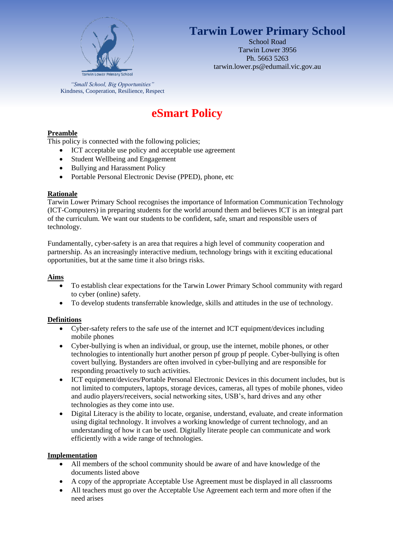

# **Tarwin Lower Primary School**

School Road Tarwin Lower 3956 Ph. 5663 5263 tarwin.lower.ps@edumail.vic.gov.au

*"Small School, Big Opportunities"* Kindness, Cooperation, Resilience, Respect

# **eSmart Policy**

# **Preamble**

This policy is connected with the following policies;

- ICT acceptable use policy and acceptable use agreement
- Student Wellbeing and Engagement
- Bullying and Harassment Policy
- Portable Personal Electronic Devise (PPED), phone, etc

#### **Rationale**

Tarwin Lower Primary School recognises the importance of Information Communication Technology (ICT-Computers) in preparing students for the world around them and believes ICT is an integral part of the curriculum. We want our students to be confident, safe, smart and responsible users of technology.

Fundamentally, cyber-safety is an area that requires a high level of community cooperation and partnership. As an increasingly interactive medium, technology brings with it exciting educational opportunities, but at the same time it also brings risks.

#### **Aims**

- To establish clear expectations for the Tarwin Lower Primary School community with regard to cyber (online) safety.
- To develop students transferrable knowledge, skills and attitudes in the use of technology.

# **Definitions**

- Cyber-safety refers to the safe use of the internet and ICT equipment/devices including mobile phones
- Cyber-bullying is when an individual, or group, use the internet, mobile phones, or other technologies to intentionally hurt another person pf group pf people. Cyber-bullying is often covert bullying. Bystanders are often involved in cyber-bullying and are responsible for responding proactively to such activities.
- ICT equipment/devices/Portable Personal Electronic Devices in this document includes, but is not limited to computers, laptops, storage devices, cameras, all types of mobile phones, video and audio players/receivers, social networking sites, USB's, hard drives and any other technologies as they come into use.
- Digital Literacy is the ability to locate, organise, understand, evaluate, and create information using digital technology. It involves a working knowledge of current technology, and an understanding of how it can be used. Digitally literate people can communicate and work efficiently with a wide range of technologies.

#### **Implementation**

- All members of the school community should be aware of and have knowledge of the documents listed above
- A copy of the appropriate Acceptable Use Agreement must be displayed in all classrooms
- All teachers must go over the Acceptable Use Agreement each term and more often if the need arises